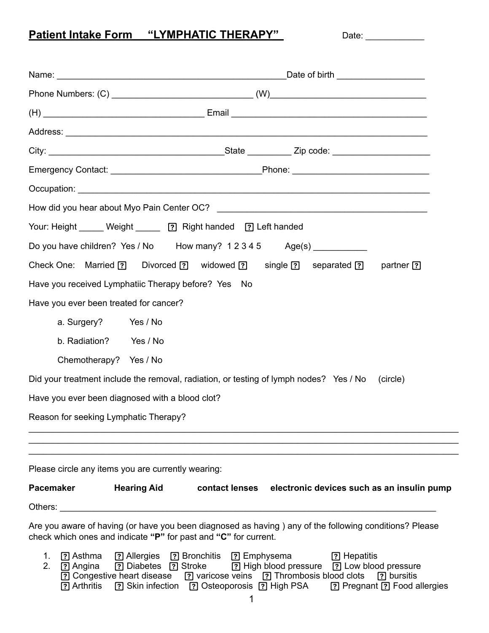## Patient Intake Form "LYMPHATIC THERAPY" Date: \_\_\_\_\_\_\_\_\_\_

| Your: Height _____ Weight ______ ? Right handed ? Left handed                                                                                                                                                                                                   |                                                                                                           |
|-----------------------------------------------------------------------------------------------------------------------------------------------------------------------------------------------------------------------------------------------------------------|-----------------------------------------------------------------------------------------------------------|
| Do you have children? Yes / No How many? 12345 Age(s) __________                                                                                                                                                                                                |                                                                                                           |
| Check One: Married [?] Divorced [?] widowed [?] single [?] separated [?] partner [?]                                                                                                                                                                            |                                                                                                           |
| Have you received Lymphatiic Therapy before? Yes No                                                                                                                                                                                                             |                                                                                                           |
| Have you ever been treated for cancer?                                                                                                                                                                                                                          |                                                                                                           |
| a. Surgery? Yes / No                                                                                                                                                                                                                                            |                                                                                                           |
| b. Radiation? Yes / No                                                                                                                                                                                                                                          |                                                                                                           |
| Chemotherapy? Yes / No                                                                                                                                                                                                                                          |                                                                                                           |
| Did your treatment include the removal, radiation, or testing of lymph nodes? Yes / No (circle)                                                                                                                                                                 |                                                                                                           |
| Have you ever been diagnosed with a blood clot?                                                                                                                                                                                                                 |                                                                                                           |
| Reason for seeking Lymphatic Therapy?                                                                                                                                                                                                                           |                                                                                                           |
|                                                                                                                                                                                                                                                                 |                                                                                                           |
|                                                                                                                                                                                                                                                                 |                                                                                                           |
| Please circle any items you are currently wearing:                                                                                                                                                                                                              |                                                                                                           |
| <b>Pacemaker</b>                                                                                                                                                                                                                                                | Hearing Aid contact lenses electronic devices such as an insulin pump                                     |
| Others: example and the contract of the contract of the contract of the contract of the contract of the contract of the contract of the contract of the contract of the contract of the contract of the contract of the contra                                  |                                                                                                           |
| Are you aware of having (or have you been diagnosed as having) any of the following conditions? Please<br>check which ones and indicate "P" for past and "C" for current.                                                                                       |                                                                                                           |
| <b>?</b> Asthma<br>? Allergies ? Bronchitis ? Emphysema [?] Hepatitis<br>1.<br>2.<br>? Angina<br>[?] Congestive heart disease [?] varicose veins [?] Thrombosis blood clots [?] bursitis<br>[?] Arthritis [?] Skin infection [?] Osteoporosis [?] High PSA<br>1 | [?] Diabetes [?] Stroke [?] High blood pressure [?] Low blood pressure<br>[?] Pregnant [?] Food allergies |